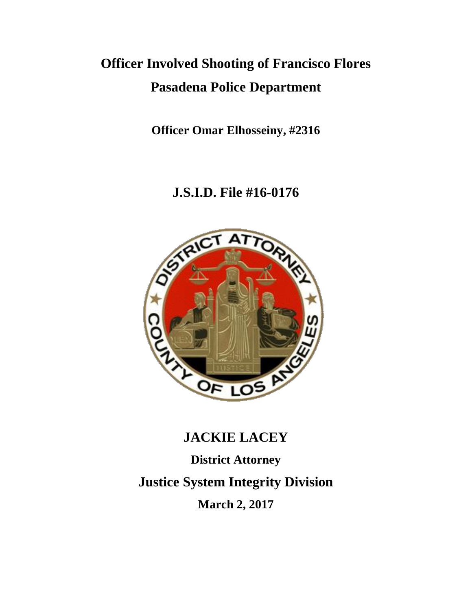# **Officer Involved Shooting of Francisco Flores Pasadena Police Department**

**Officer Omar Elhosseiny, #2316**

# **J.S.I.D. File #16-0176**



# **JACKIE LACEY**

**District Attorney Justice System Integrity Division March 2, 2017**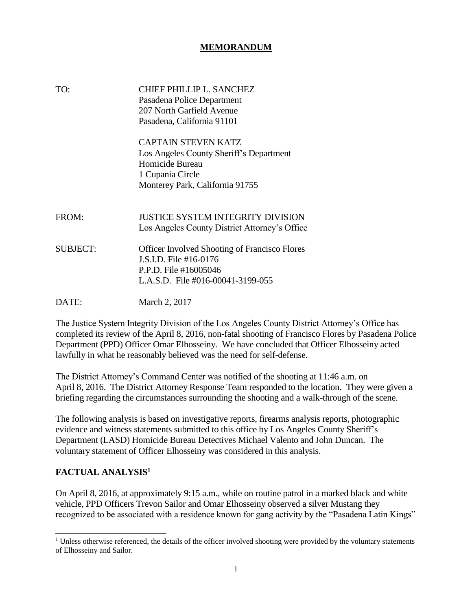#### **MEMORANDUM**

| TO:             | CHIEF PHILLIP L. SANCHEZ<br>Pasadena Police Department<br>207 North Garfield Avenue<br>Pasadena, California 91101                               |
|-----------------|-------------------------------------------------------------------------------------------------------------------------------------------------|
|                 | <b>CAPTAIN STEVEN KATZ</b><br>Los Angeles County Sheriff's Department<br>Homicide Bureau<br>1 Cupania Circle<br>Monterey Park, California 91755 |
| FROM:           | JUSTICE SYSTEM INTEGRITY DIVISION<br>Los Angeles County District Attorney's Office                                                              |
| <b>SUBJECT:</b> | <b>Officer Involved Shooting of Francisco Flores</b><br>J.S.I.D. File #16-0176<br>P.P.D. File #16005046<br>L.A.S.D. File $\#016-00041-3199-055$ |
| DATE:           | March 2, 2017                                                                                                                                   |

The Justice System Integrity Division of the Los Angeles County District Attorney's Office has completed its review of the April 8, 2016, non-fatal shooting of Francisco Flores by Pasadena Police Department (PPD) Officer Omar Elhosseiny. We have concluded that Officer Elhosseiny acted lawfully in what he reasonably believed was the need for self-defense.

The District Attorney's Command Center was notified of the shooting at 11:46 a.m. on April 8, 2016. The District Attorney Response Team responded to the location. They were given a briefing regarding the circumstances surrounding the shooting and a walk-through of the scene.

The following analysis is based on investigative reports, firearms analysis reports, photographic evidence and witness statements submitted to this office by Los Angeles County Sheriff's Department (LASD) Homicide Bureau Detectives Michael Valento and John Duncan. The voluntary statement of Officer Elhosseiny was considered in this analysis.

### **FACTUAL ANALYSIS<sup>1</sup>**

On April 8, 2016, at approximately 9:15 a.m., while on routine patrol in a marked black and white vehicle, PPD Officers Trevon Sailor and Omar Elhosseiny observed a silver Mustang they recognized to be associated with a residence known for gang activity by the "Pasadena Latin Kings"

 $1$  Unless otherwise referenced, the details of the officer involved shooting were provided by the voluntary statements of Elhosseiny and Sailor.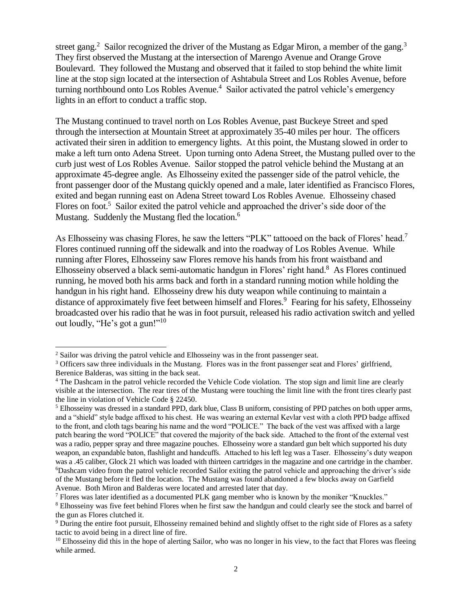street gang.<sup>2</sup> Sailor recognized the driver of the Mustang as Edgar Miron, a member of the gang.<sup>3</sup> They first observed the Mustang at the intersection of Marengo Avenue and Orange Grove Boulevard. They followed the Mustang and observed that it failed to stop behind the white limit line at the stop sign located at the intersection of Ashtabula Street and Los Robles Avenue, before turning northbound onto Los Robles Avenue.<sup>4</sup> Sailor activated the patrol vehicle's emergency lights in an effort to conduct a traffic stop.

The Mustang continued to travel north on Los Robles Avenue, past Buckeye Street and sped through the intersection at Mountain Street at approximately 35-40 miles per hour. The officers activated their siren in addition to emergency lights. At this point, the Mustang slowed in order to make a left turn onto Adena Street. Upon turning onto Adena Street, the Mustang pulled over to the curb just west of Los Robles Avenue. Sailor stopped the patrol vehicle behind the Mustang at an approximate 45-degree angle. As Elhosseiny exited the passenger side of the patrol vehicle, the front passenger door of the Mustang quickly opened and a male, later identified as Francisco Flores, exited and began running east on Adena Street toward Los Robles Avenue. Elhosseiny chased Flores on foot.<sup>5</sup> Sailor exited the patrol vehicle and approached the driver's side door of the Mustang. Suddenly the Mustang fled the location.<sup>6</sup>

As Elhosseiny was chasing Flores, he saw the letters "PLK" tattooed on the back of Flores' head.<sup>7</sup> Flores continued running off the sidewalk and into the roadway of Los Robles Avenue. While running after Flores, Elhosseiny saw Flores remove his hands from his front waistband and Elhosseiny observed a black semi-automatic handgun in Flores' right hand.<sup>8</sup> As Flores continued running, he moved both his arms back and forth in a standard running motion while holding the handgun in his right hand. Elhosseiny drew his duty weapon while continuing to maintain a distance of approximately five feet between himself and Flores.<sup>9</sup> Fearing for his safety, Elhosseiny broadcasted over his radio that he was in foot pursuit, released his radio activation switch and yelled out loudly, "He's got a gun!"<sup>10</sup>

<sup>&</sup>lt;sup>2</sup> Sailor was driving the patrol vehicle and Elhosseiny was in the front passenger seat.

<sup>&</sup>lt;sup>3</sup> Officers saw three individuals in the Mustang. Flores was in the front passenger seat and Flores' girlfriend, Berenice Balderas, was sitting in the back seat.

<sup>&</sup>lt;sup>4</sup> The Dashcam in the patrol vehicle recorded the Vehicle Code violation. The stop sign and limit line are clearly visible at the intersection. The rear tires of the Mustang were touching the limit line with the front tires clearly past the line in violation of Vehicle Code § 22450.

<sup>5</sup> Elhosseiny was dressed in a standard PPD, dark blue, Class B uniform, consisting of PPD patches on both upper arms, and a "shield" style badge affixed to his chest. He was wearing an external Kevlar vest with a cloth PPD badge affixed to the front, and cloth tags bearing his name and the word "POLICE." The back of the vest was affixed with a large patch bearing the word "POLICE" that covered the majority of the back side. Attached to the front of the external vest was a radio, pepper spray and three magazine pouches. Elhosseiny wore a standard gun belt which supported his duty weapon, an expandable baton, flashlight and handcuffs. Attached to his left leg was a Taser. Elhosseiny's duty weapon was a .45 caliber, Glock 21 which was loaded with thirteen cartridges in the magazine and one cartridge in the chamber. <sup>6</sup>Dashcam video from the patrol vehicle recorded Sailor exiting the patrol vehicle and approaching the driver's side of the Mustang before it fled the location. The Mustang was found abandoned a few blocks away on Garfield Avenue. Both Miron and Balderas were located and arrested later that day.

<sup>7</sup> Flores was later identified as a documented PLK gang member who is known by the moniker "Knuckles."

<sup>8</sup> Elhosseiny was five feet behind Flores when he first saw the handgun and could clearly see the stock and barrel of the gun as Flores clutched it.

<sup>9</sup> During the entire foot pursuit, Elhosseiny remained behind and slightly offset to the right side of Flores as a safety tactic to avoid being in a direct line of fire.

 $10$  Elhosseiny did this in the hope of alerting Sailor, who was no longer in his view, to the fact that Flores was fleeing while armed.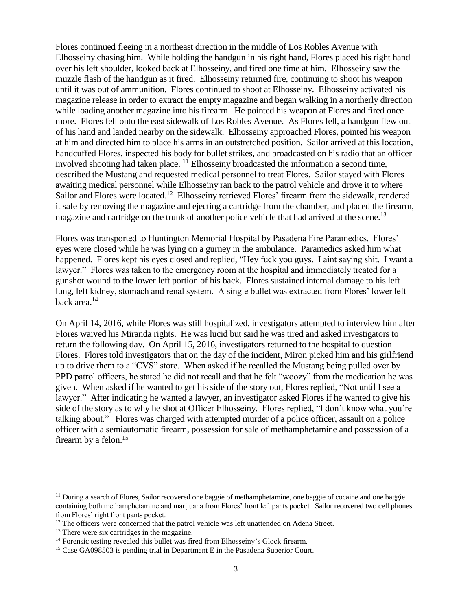Flores continued fleeing in a northeast direction in the middle of Los Robles Avenue with Elhosseiny chasing him. While holding the handgun in his right hand, Flores placed his right hand over his left shoulder, looked back at Elhosseiny, and fired one time at him. Elhosseiny saw the muzzle flash of the handgun as it fired. Elhosseiny returned fire, continuing to shoot his weapon until it was out of ammunition. Flores continued to shoot at Elhosseiny. Elhosseiny activated his magazine release in order to extract the empty magazine and began walking in a northerly direction while loading another magazine into his firearm. He pointed his weapon at Flores and fired once more. Flores fell onto the east sidewalk of Los Robles Avenue. As Flores fell, a handgun flew out of his hand and landed nearby on the sidewalk. Elhosseiny approached Flores, pointed his weapon at him and directed him to place his arms in an outstretched position. Sailor arrived at this location, handcuffed Flores, inspected his body for bullet strikes, and broadcasted on his radio that an officer involved shooting had taken place.  $^{11}$  Elhosseiny broadcasted the information a second time, described the Mustang and requested medical personnel to treat Flores. Sailor stayed with Flores awaiting medical personnel while Elhosseiny ran back to the patrol vehicle and drove it to where Sailor and Flores were located.<sup>12</sup> Elhosseiny retrieved Flores' firearm from the sidewalk, rendered it safe by removing the magazine and ejecting a cartridge from the chamber, and placed the firearm, magazine and cartridge on the trunk of another police vehicle that had arrived at the scene.<sup>13</sup>

Flores was transported to Huntington Memorial Hospital by Pasadena Fire Paramedics. Flores' eyes were closed while he was lying on a gurney in the ambulance. Paramedics asked him what happened. Flores kept his eyes closed and replied, "Hey fuck you guys. I aint saying shit. I want a lawyer." Flores was taken to the emergency room at the hospital and immediately treated for a gunshot wound to the lower left portion of his back. Flores sustained internal damage to his left lung, left kidney, stomach and renal system. A single bullet was extracted from Flores' lower left back area.<sup>14</sup>

On April 14, 2016, while Flores was still hospitalized, investigators attempted to interview him after Flores waived his Miranda rights. He was lucid but said he was tired and asked investigators to return the following day. On April 15, 2016, investigators returned to the hospital to question Flores. Flores told investigators that on the day of the incident, Miron picked him and his girlfriend up to drive them to a "CVS" store. When asked if he recalled the Mustang being pulled over by PPD patrol officers, he stated he did not recall and that he felt "woozy" from the medication he was given. When asked if he wanted to get his side of the story out, Flores replied, "Not until I see a lawyer." After indicating he wanted a lawyer, an investigator asked Flores if he wanted to give his side of the story as to why he shot at Officer Elhosseiny. Flores replied, "I don't know what you're talking about." Flores was charged with attempted murder of a police officer, assault on a police officer with a semiautomatic firearm, possession for sale of methamphetamine and possession of a firearm by a felon.<sup>15</sup>

 $\overline{\phantom{a}}$ 

<sup>&</sup>lt;sup>11</sup> During a search of Flores, Sailor recovered one baggie of methamphetamine, one baggie of cocaine and one baggie containing both methamphetamine and marijuana from Flores' front left pants pocket. Sailor recovered two cell phones from Flores' right front pants pocket.

 $12$  The officers were concerned that the patrol vehicle was left unattended on Adena Street.

<sup>&</sup>lt;sup>13</sup> There were six cartridges in the magazine.

<sup>&</sup>lt;sup>14</sup> Forensic testing revealed this bullet was fired from Elhosseiny's Glock firearm.

<sup>&</sup>lt;sup>15</sup> Case GA098503 is pending trial in Department E in the Pasadena Superior Court.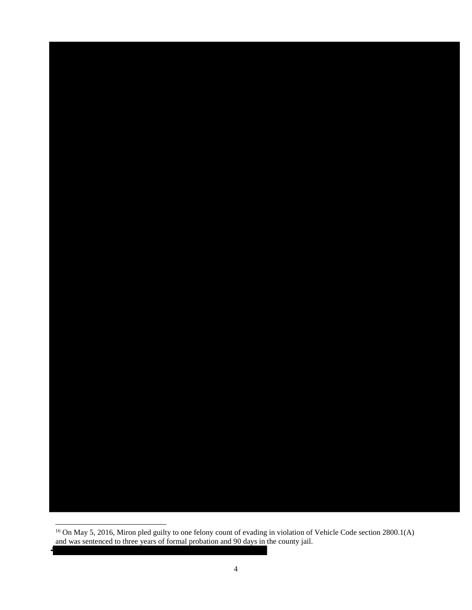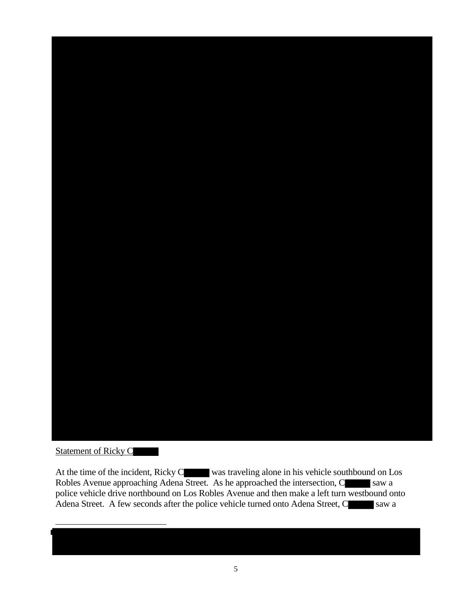

## Statement of Ricky C

l

At the time of the incident, Ricky C was traveling alone in his vehicle southbound on Los Robles Avenue approaching Adena Street. As he approached the intersection, C saw a police vehicle drive northbound on Los Robles Avenue and then make a left turn westbound onto Adena Street. A few seconds after the police vehicle turned onto Adena Street, C saw a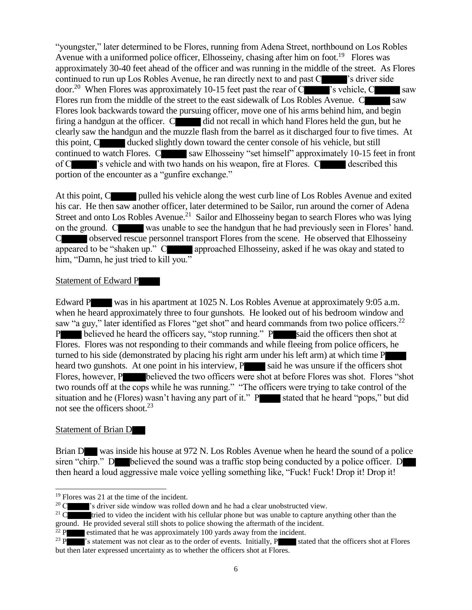"youngster," later determined to be Flores, running from Adena Street, northbound on Los Robles Avenue with a uniformed police officer, Elhosseiny, chasing after him on foot.<sup>19</sup> Flores was approximately 30-40 feet ahead of the officer and was running in the middle of the street. As Flores continued to run up Los Robles Avenue, he ran directly next to and past C solution is driver side door.<sup>20</sup> When Flores was approximately 10-15 feet past the rear of C  $\blacksquare$  's vehicle, C saw Flores run from the middle of the street to the east sidewalk of Los Robles Avenue. C saw Flores look backwards toward the pursuing officer, move one of his arms behind him, and begin firing a handgun at the officer.  $C$  did not recall in which hand Flores held the gun, but he clearly saw the handgun and the muzzle flash from the barrel as it discharged four to five times. At this point, C ducked slightly down toward the center console of his vehicle, but still continued to watch Flores. C saw Elhosseiny "set himself" approximately 10-15 feet in front of C  $\blacksquare$ 's vehicle and with two hands on his weapon, fire at Flores. C described this portion of the encounter as a "gunfire exchange."

At this point, C pulled his vehicle along the west curb line of Los Robles Avenue and exited his car. He then saw another officer, later determined to be Sailor, run around the corner of Adena Street and onto Los Robles Avenue.<sup>21</sup> Sailor and Elhosseiny began to search Flores who was lying on the ground. C was unable to see the handgun that he had previously seen in Flores' hand. C observed rescue personnel transport Flores from the scene. He observed that Elhosseiny appeared to be "shaken up." C approached Elhosseiny, asked if he was okay and stated to him, "Damn, he just tried to kill you."

#### Statement of Edward P

Edward P was in his apartment at 1025 N. Los Robles Avenue at approximately 9:05 a.m. when he heard approximately three to four gunshots. He looked out of his bedroom window and saw "a guy," later identified as Flores "get shot" and heard commands from two police officers.<sup>22</sup> P believed he heard the officers say, "stop running." P said the officers then shot at Flores. Flores was not responding to their commands and while fleeing from police officers, he turned to his side (demonstrated by placing his right arm under his left arm) at which time P heard two gunshots. At one point in his interview,  $P$  said he was unsure if the officers shot Flores, however, P believed the two officers were shot at before Flores was shot. Flores "shot" two rounds off at the cops while he was running." "The officers were trying to take control of the situation and he (Flores) wasn't having any part of it." P stated that he heard "pops," but did not see the officers shoot.<sup>23</sup>

#### Statement of Brian D

 $\overline{\phantom{a}}$ 

Brian D was inside his house at 972 N. Los Robles Avenue when he heard the sound of a police siren "chirp." D believed the sound was a traffic stop being conducted by a police officer. D then heard a loud aggressive male voice yelling something like, "Fuck! Fuck! Drop it! Drop it!

<sup>&</sup>lt;sup>19</sup> Flores was 21 at the time of the incident.<br><sup>20</sup> Class and <sup>20</sup>'s driver side window was rolled

<sup>&</sup>lt;sup>2</sup>'s driver side window was rolled down and he had a clear unobstructed view.

<sup>&</sup>lt;sup>21</sup> C tried to video the incident with his cellular phone but was unable to capture anything other than the

ground. He provided several still shots to police showing the aftermath of the incident.

 $22$  P estimated that he was approximately 100 yards away from the incident.

<sup>&</sup>lt;sup>23</sup> P <sup>'s</sup> statement was not clear as to the order of events. Initially, P stated that the officers shot at Flores but then later expressed uncertainty as to whether the officers shot at Flores.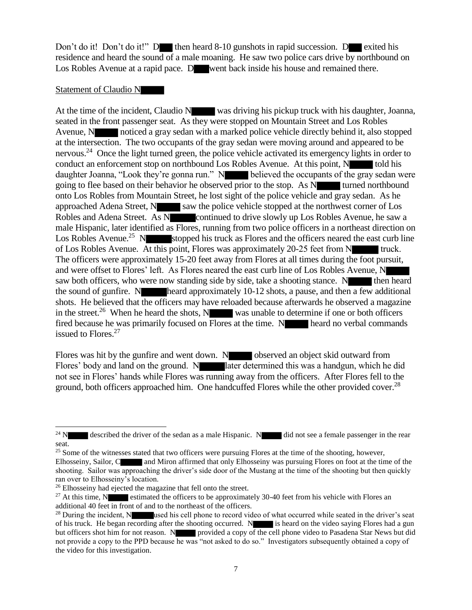Don't do it! Don't do it!" D then heard  $8-10$  gunshots in rapid succession. D exited his residence and heard the sound of a male moaning. He saw two police cars drive by northbound on Los Robles Avenue at a rapid pace. D went back inside his house and remained there.

#### Statement of Claudio N

At the time of the incident, Claudio N was driving his pickup truck with his daughter, Joanna, seated in the front passenger seat. As they were stopped on Mountain Street and Los Robles Avenue, N noticed a gray sedan with a marked police vehicle directly behind it, also stopped at the intersection. The two occupants of the gray sedan were moving around and appeared to be nervous.<sup>24</sup> Once the light turned green, the police vehicle activated its emergency lights in order to conduct an enforcement stop on northbound Los Robles Avenue. At this point, N told his daughter Joanna, "Look they're gonna run." N believed the occupants of the gray sedan were going to flee based on their behavior he observed prior to the stop. As N turned northbound onto Los Robles from Mountain Street, he lost sight of the police vehicle and gray sedan. As he approached Adena Street,  $N_{s}$  saw the police vehicle stopped at the northwest corner of Los Robles and Adena Street. As N continued to drive slowly up Los Robles Avenue, he saw a male Hispanic, later identified as Flores, running from two police officers in a northeast direction on Los Robles Avenue.<sup>25</sup> N stopped his truck as Flores and the officers neared the east curb line of Los Robles Avenue. At this point, Flores was approximately 20-25 feet from N truck. The officers were approximately 15-20 feet away from Flores at all times during the foot pursuit, and were offset to Flores' left. As Flores neared the east curb line of Los Robles Avenue, N saw both officers, who were now standing side by side, take a shooting stance. N then heard the sound of gunfire. N heard approximately  $10-12$  shots, a pause, and then a few additional shots. He believed that the officers may have reloaded because afterwards he observed a magazine in the street.<sup>26</sup> When he heard the shots, N was unable to determine if one or both officers fired because he was primarily focused on  $\overline{\text{Flores}}$  at the time. N heard no verbal commands issued to Flores.<sup>27</sup>

Flores was hit by the gunfire and went down. N observed an object skid outward from Flores' body and land on the ground. N later determined this was a handgun, which he did not see in Flores' hands while Flores was running away from the officers. After Flores fell to the ground, both officers approached him. One handcuffed Flores while the other provided cover.<sup>28</sup>

 $24 N$ described the driver of the sedan as a male Hispanic. N did not see a female passenger in the rear seat.

<sup>&</sup>lt;sup>25</sup> Some of the witnesses stated that two officers were pursuing Flores at the time of the shooting, however,

Elhosseiny, Sailor, C and Miron affirmed that only Elhosseiny was pursuing Flores on foot at the time of the shooting. Sailor was approaching the driver's side door of the Mustang at the time of the shooting but then quickly ran over to Elhosseiny's location.

<sup>&</sup>lt;sup>26</sup> Elhosseiny had ejected the magazine that fell onto the street.

<sup>&</sup>lt;sup>27</sup> At this time, N estimated the officers to be approximately 30-40 feet from his vehicle with Flores an additional 40 feet in front of and to the northeast of the officers.

<sup>&</sup>lt;sup>28</sup> During the incident, N used his cell phone to record video of what occurred while seated in the driver's seat of his truck. He began recording after the shooting occurred. N is heard on the video saying Flores had a gun but officers shot him for not reason. N provided a copy of the cell phone video to Pasadena Star News but did not provide a copy to the PPD because he was "not asked to do so." Investigators subsequently obtained a copy of the video for this investigation.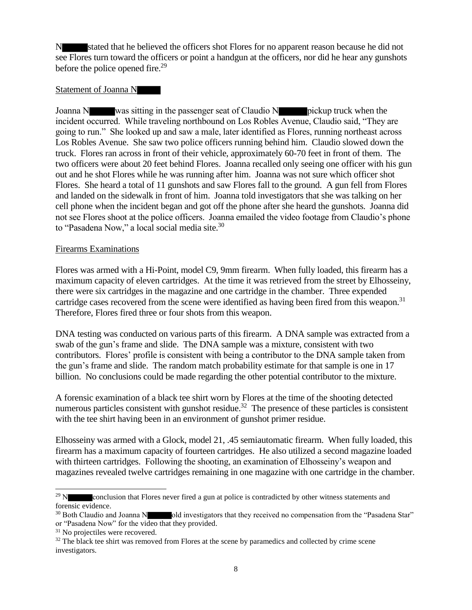stated that he believed the officers shot Flores for no apparent reason because he did not see Flores turn toward the officers or point a handgun at the officers, nor did he hear any gunshots before the police opened fire.<sup>29</sup>

#### Statement of Joanna N

Joanna N was sitting in the passenger seat of Claudio N pickup truck when the incident occurred. While traveling northbound on Los Robles Avenue, Claudio said, "They are going to run." She looked up and saw a male, later identified as Flores, running northeast across Los Robles Avenue. She saw two police officers running behind him. Claudio slowed down the truck. Flores ran across in front of their vehicle, approximately 60-70 feet in front of them. The two officers were about 20 feet behind Flores. Joanna recalled only seeing one officer with his gun out and he shot Flores while he was running after him. Joanna was not sure which officer shot Flores. She heard a total of 11 gunshots and saw Flores fall to the ground. A gun fell from Flores and landed on the sidewalk in front of him. Joanna told investigators that she was talking on her cell phone when the incident began and got off the phone after she heard the gunshots. Joanna did not see Flores shoot at the police officers. Joanna emailed the video footage from Claudio's phone to "Pasadena Now," a local social media site.<sup>30</sup>

#### Firearms Examinations

Flores was armed with a Hi-Point, model C9, 9mm firearm. When fully loaded, this firearm has a maximum capacity of eleven cartridges. At the time it was retrieved from the street by Elhosseiny, there were six cartridges in the magazine and one cartridge in the chamber. Three expended cartridge cases recovered from the scene were identified as having been fired from this weapon. $31$ Therefore, Flores fired three or four shots from this weapon.

DNA testing was conducted on various parts of this firearm. A DNA sample was extracted from a swab of the gun's frame and slide. The DNA sample was a mixture, consistent with two contributors. Flores' profile is consistent with being a contributor to the DNA sample taken from the gun's frame and slide. The random match probability estimate for that sample is one in 17 billion. No conclusions could be made regarding the other potential contributor to the mixture.

A forensic examination of a black tee shirt worn by Flores at the time of the shooting detected numerous particles consistent with gunshot residue.<sup>32</sup> The presence of these particles is consistent with the tee shirt having been in an environment of gunshot primer residue.

Elhosseiny was armed with a Glock, model 21, .45 semiautomatic firearm. When fully loaded, this firearm has a maximum capacity of fourteen cartridges. He also utilized a second magazine loaded with thirteen cartridges. Following the shooting, an examination of Elhosseiny's weapon and magazines revealed twelve cartridges remaining in one magazine with one cartridge in the chamber.

 $\overline{\phantom{a}}$ 

<sup>&</sup>lt;sup>29</sup> N conclusion that Flores never fired a gun at police is contradicted by other witness statements and forensic evidence.

<sup>&</sup>lt;sup>30</sup> Both Claudio and Joanna N old investigators that they received no compensation from the "Pasadena Star" or "Pasadena Now" for the video that they provided.

<sup>&</sup>lt;sup>31</sup> No projectiles were recovered.

<sup>&</sup>lt;sup>32</sup> The black tee shirt was removed from Flores at the scene by paramedics and collected by crime scene investigators.